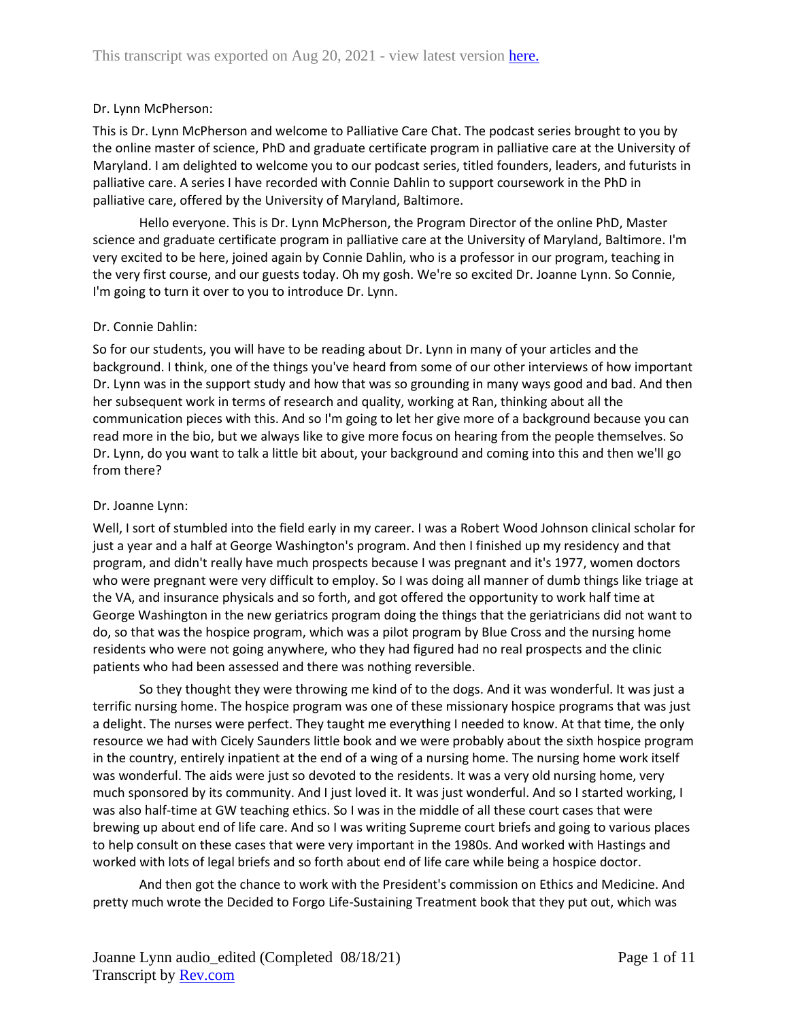# Dr. Lynn McPherson:

This is Dr. Lynn McPherson and welcome to Palliative Care Chat. The podcast series brought to you by the online master of science, PhD and graduate certificate program in palliative care at the University of Maryland. I am delighted to welcome you to our podcast series, titled founders, leaders, and futurists in palliative care. A series I have recorded with Connie Dahlin to support coursework in the PhD in palliative care, offered by the University of Maryland, Baltimore.

Hello everyone. This is Dr. Lynn McPherson, the Program Director of the online PhD, Master science and graduate certificate program in palliative care at the University of Maryland, Baltimore. I'm very excited to be here, joined again by Connie Dahlin, who is a professor in our program, teaching in the very first course, and our guests today. Oh my gosh. We're so excited Dr. Joanne Lynn. So Connie, I'm going to turn it over to you to introduce Dr. Lynn.

## Dr. Connie Dahlin:

So for our students, you will have to be reading about Dr. Lynn in many of your articles and the background. I think, one of the things you've heard from some of our other interviews of how important Dr. Lynn was in the support study and how that was so grounding in many ways good and bad. And then her subsequent work in terms of research and quality, working at Ran, thinking about all the communication pieces with this. And so I'm going to let her give more of a background because you can read more in the bio, but we always like to give more focus on hearing from the people themselves. So Dr. Lynn, do you want to talk a little bit about, your background and coming into this and then we'll go from there?

# Dr. Joanne Lynn:

Well, I sort of stumbled into the field early in my career. I was a Robert Wood Johnson clinical scholar for just a year and a half at George Washington's program. And then I finished up my residency and that program, and didn't really have much prospects because I was pregnant and it's 1977, women doctors who were pregnant were very difficult to employ. So I was doing all manner of dumb things like triage at the VA, and insurance physicals and so forth, and got offered the opportunity to work half time at George Washington in the new geriatrics program doing the things that the geriatricians did not want to do, so that was the hospice program, which was a pilot program by Blue Cross and the nursing home residents who were not going anywhere, who they had figured had no real prospects and the clinic patients who had been assessed and there was nothing reversible.

So they thought they were throwing me kind of to the dogs. And it was wonderful. It was just a terrific nursing home. The hospice program was one of these missionary hospice programs that was just a delight. The nurses were perfect. They taught me everything I needed to know. At that time, the only resource we had with Cicely Saunders little book and we were probably about the sixth hospice program in the country, entirely inpatient at the end of a wing of a nursing home. The nursing home work itself was wonderful. The aids were just so devoted to the residents. It was a very old nursing home, very much sponsored by its community. And I just loved it. It was just wonderful. And so I started working, I was also half-time at GW teaching ethics. So I was in the middle of all these court cases that were brewing up about end of life care. And so I was writing Supreme court briefs and going to various places to help consult on these cases that were very important in the 1980s. And worked with Hastings and worked with lots of legal briefs and so forth about end of life care while being a hospice doctor.

And then got the chance to work with the President's commission on Ethics and Medicine. And pretty much wrote the Decided to Forgo Life-Sustaining Treatment book that they put out, which was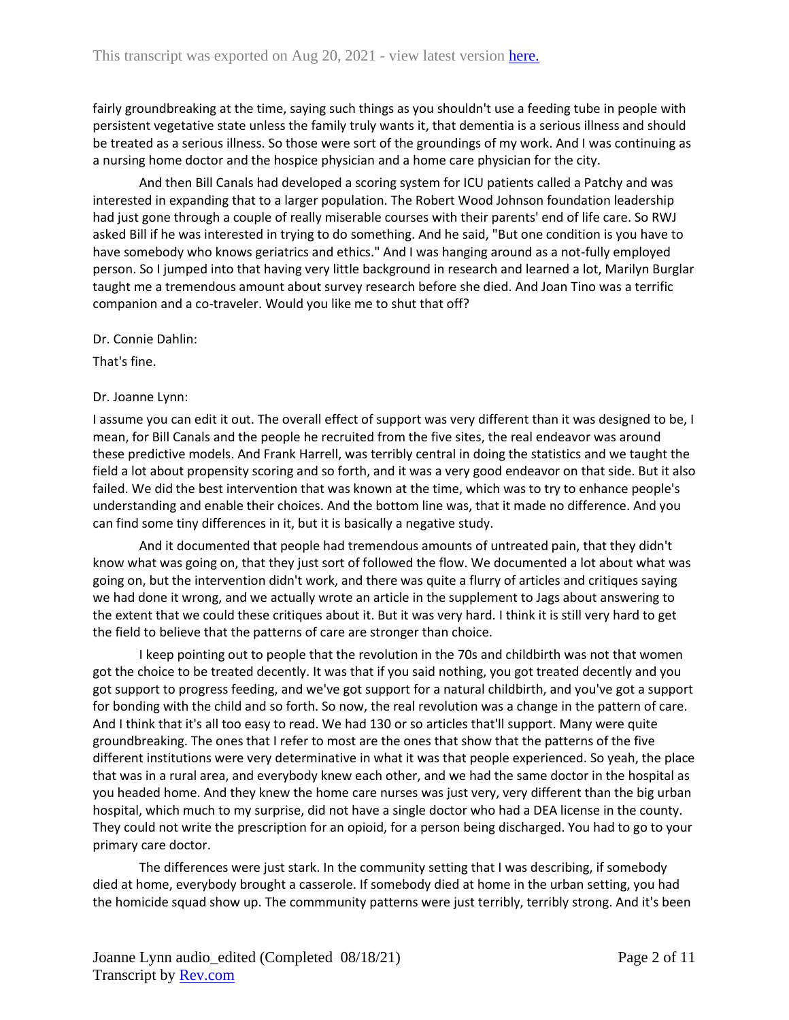fairly groundbreaking at the time, saying such things as you shouldn't use a feeding tube in people with persistent vegetative state unless the family truly wants it, that dementia is a serious illness and should be treated as a serious illness. So those were sort of the groundings of my work. And I was continuing as a nursing home doctor and the hospice physician and a home care physician for the city.

And then Bill Canals had developed a scoring system for ICU patients called a Patchy and was interested in expanding that to a larger population. The Robert Wood Johnson foundation leadership had just gone through a couple of really miserable courses with their parents' end of life care. So RWJ asked Bill if he was interested in trying to do something. And he said, "But one condition is you have to have somebody who knows geriatrics and ethics." And I was hanging around as a not-fully employed person. So I jumped into that having very little background in research and learned a lot, Marilyn Burglar taught me a tremendous amount about survey research before she died. And Joan Tino was a terrific companion and a co-traveler. Would you like me to shut that off?

Dr. Connie Dahlin:

That's fine.

## Dr. Joanne Lynn:

I assume you can edit it out. The overall effect of support was very different than it was designed to be, I mean, for Bill Canals and the people he recruited from the five sites, the real endeavor was around these predictive models. And Frank Harrell, was terribly central in doing the statistics and we taught the field a lot about propensity scoring and so forth, and it was a very good endeavor on that side. But it also failed. We did the best intervention that was known at the time, which was to try to enhance people's understanding and enable their choices. And the bottom line was, that it made no difference. And you can find some tiny differences in it, but it is basically a negative study.

And it documented that people had tremendous amounts of untreated pain, that they didn't know what was going on, that they just sort of followed the flow. We documented a lot about what was going on, but the intervention didn't work, and there was quite a flurry of articles and critiques saying we had done it wrong, and we actually wrote an article in the supplement to Jags about answering to the extent that we could these critiques about it. But it was very hard. I think it is still very hard to get the field to believe that the patterns of care are stronger than choice.

I keep pointing out to people that the revolution in the 70s and childbirth was not that women got the choice to be treated decently. It was that if you said nothing, you got treated decently and you got support to progress feeding, and we've got support for a natural childbirth, and you've got a support for bonding with the child and so forth. So now, the real revolution was a change in the pattern of care. And I think that it's all too easy to read. We had 130 or so articles that'll support. Many were quite groundbreaking. The ones that I refer to most are the ones that show that the patterns of the five different institutions were very determinative in what it was that people experienced. So yeah, the place that was in a rural area, and everybody knew each other, and we had the same doctor in the hospital as you headed home. And they knew the home care nurses was just very, very different than the big urban hospital, which much to my surprise, did not have a single doctor who had a DEA license in the county. They could not write the prescription for an opioid, for a person being discharged. You had to go to your primary care doctor.

The differences were just stark. In the community setting that I was describing, if somebody died at home, everybody brought a casserole. If somebody died at home in the urban setting, you had the homicide squad show up. The commmunity patterns were just terribly, terribly strong. And it's been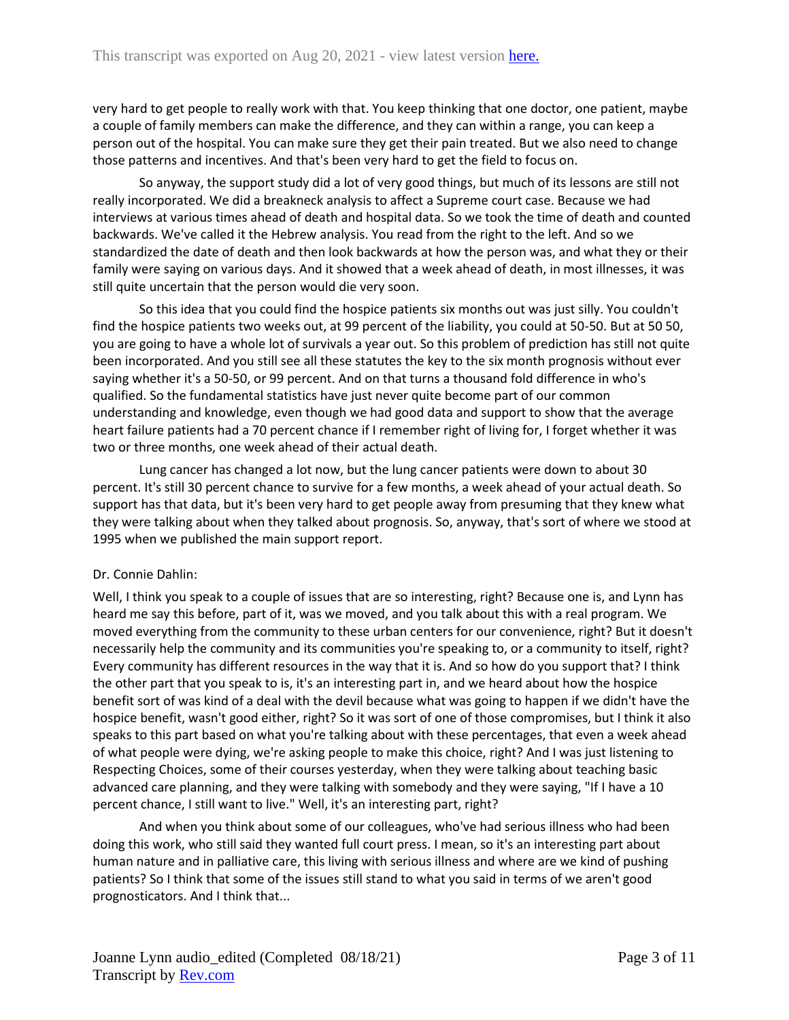very hard to get people to really work with that. You keep thinking that one doctor, one patient, maybe a couple of family members can make the difference, and they can within a range, you can keep a person out of the hospital. You can make sure they get their pain treated. But we also need to change those patterns and incentives. And that's been very hard to get the field to focus on.

So anyway, the support study did a lot of very good things, but much of its lessons are still not really incorporated. We did a breakneck analysis to affect a Supreme court case. Because we had interviews at various times ahead of death and hospital data. So we took the time of death and counted backwards. We've called it the Hebrew analysis. You read from the right to the left. And so we standardized the date of death and then look backwards at how the person was, and what they or their family were saying on various days. And it showed that a week ahead of death, in most illnesses, it was still quite uncertain that the person would die very soon.

So this idea that you could find the hospice patients six months out was just silly. You couldn't find the hospice patients two weeks out, at 99 percent of the liability, you could at 50-50. But at 50 50, you are going to have a whole lot of survivals a year out. So this problem of prediction has still not quite been incorporated. And you still see all these statutes the key to the six month prognosis without ever saying whether it's a 50-50, or 99 percent. And on that turns a thousand fold difference in who's qualified. So the fundamental statistics have just never quite become part of our common understanding and knowledge, even though we had good data and support to show that the average heart failure patients had a 70 percent chance if I remember right of living for, I forget whether it was two or three months, one week ahead of their actual death.

Lung cancer has changed a lot now, but the lung cancer patients were down to about 30 percent. It's still 30 percent chance to survive for a few months, a week ahead of your actual death. So support has that data, but it's been very hard to get people away from presuming that they knew what they were talking about when they talked about prognosis. So, anyway, that's sort of where we stood at 1995 when we published the main support report.

# Dr. Connie Dahlin:

Well, I think you speak to a couple of issues that are so interesting, right? Because one is, and Lynn has heard me say this before, part of it, was we moved, and you talk about this with a real program. We moved everything from the community to these urban centers for our convenience, right? But it doesn't necessarily help the community and its communities you're speaking to, or a community to itself, right? Every community has different resources in the way that it is. And so how do you support that? I think the other part that you speak to is, it's an interesting part in, and we heard about how the hospice benefit sort of was kind of a deal with the devil because what was going to happen if we didn't have the hospice benefit, wasn't good either, right? So it was sort of one of those compromises, but I think it also speaks to this part based on what you're talking about with these percentages, that even a week ahead of what people were dying, we're asking people to make this choice, right? And I was just listening to Respecting Choices, some of their courses yesterday, when they were talking about teaching basic advanced care planning, and they were talking with somebody and they were saying, "If I have a 10 percent chance, I still want to live." Well, it's an interesting part, right?

And when you think about some of our colleagues, who've had serious illness who had been doing this work, who still said they wanted full court press. I mean, so it's an interesting part about human nature and in palliative care, this living with serious illness and where are we kind of pushing patients? So I think that some of the issues still stand to what you said in terms of we aren't good prognosticators. And I think that...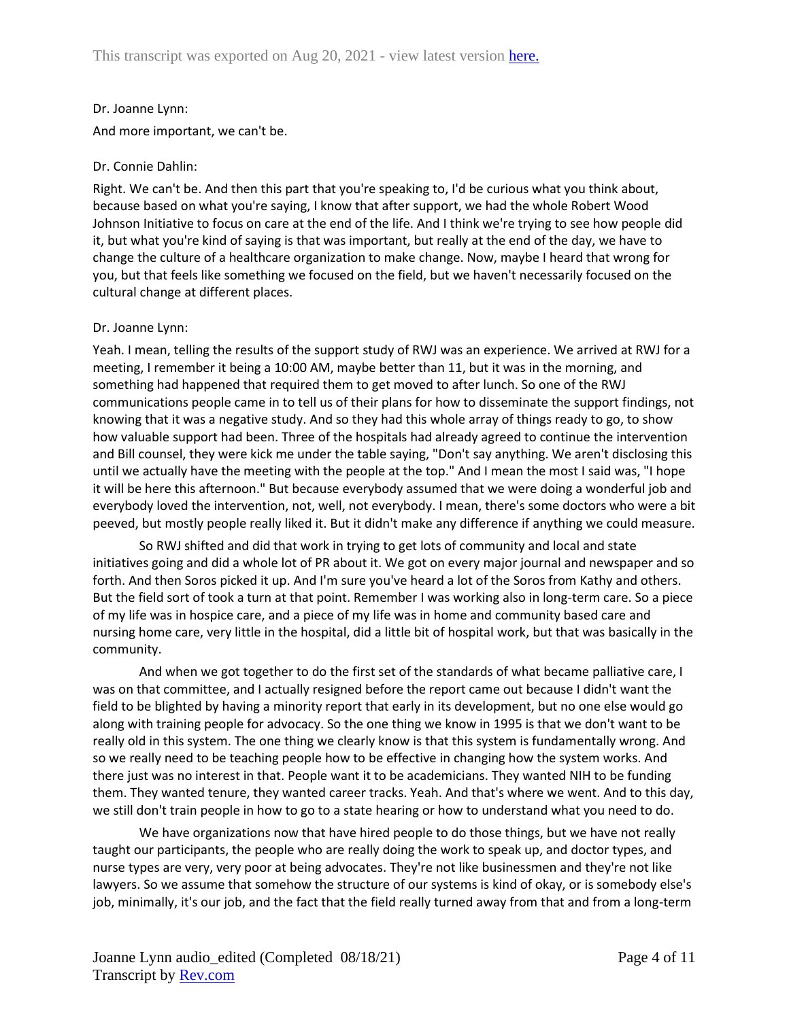# Dr. Joanne Lynn:

And more important, we can't be.

# Dr. Connie Dahlin:

Right. We can't be. And then this part that you're speaking to, I'd be curious what you think about, because based on what you're saying, I know that after support, we had the whole Robert Wood Johnson Initiative to focus on care at the end of the life. And I think we're trying to see how people did it, but what you're kind of saying is that was important, but really at the end of the day, we have to change the culture of a healthcare organization to make change. Now, maybe I heard that wrong for you, but that feels like something we focused on the field, but we haven't necessarily focused on the cultural change at different places.

# Dr. Joanne Lynn:

Yeah. I mean, telling the results of the support study of RWJ was an experience. We arrived at RWJ for a meeting, I remember it being a 10:00 AM, maybe better than 11, but it was in the morning, and something had happened that required them to get moved to after lunch. So one of the RWJ communications people came in to tell us of their plans for how to disseminate the support findings, not knowing that it was a negative study. And so they had this whole array of things ready to go, to show how valuable support had been. Three of the hospitals had already agreed to continue the intervention and Bill counsel, they were kick me under the table saying, "Don't say anything. We aren't disclosing this until we actually have the meeting with the people at the top." And I mean the most I said was, "I hope it will be here this afternoon." But because everybody assumed that we were doing a wonderful job and everybody loved the intervention, not, well, not everybody. I mean, there's some doctors who were a bit peeved, but mostly people really liked it. But it didn't make any difference if anything we could measure.

So RWJ shifted and did that work in trying to get lots of community and local and state initiatives going and did a whole lot of PR about it. We got on every major journal and newspaper and so forth. And then Soros picked it up. And I'm sure you've heard a lot of the Soros from Kathy and others. But the field sort of took a turn at that point. Remember I was working also in long-term care. So a piece of my life was in hospice care, and a piece of my life was in home and community based care and nursing home care, very little in the hospital, did a little bit of hospital work, but that was basically in the community.

And when we got together to do the first set of the standards of what became palliative care, I was on that committee, and I actually resigned before the report came out because I didn't want the field to be blighted by having a minority report that early in its development, but no one else would go along with training people for advocacy. So the one thing we know in 1995 is that we don't want to be really old in this system. The one thing we clearly know is that this system is fundamentally wrong. And so we really need to be teaching people how to be effective in changing how the system works. And there just was no interest in that. People want it to be academicians. They wanted NIH to be funding them. They wanted tenure, they wanted career tracks. Yeah. And that's where we went. And to this day, we still don't train people in how to go to a state hearing or how to understand what you need to do.

We have organizations now that have hired people to do those things, but we have not really taught our participants, the people who are really doing the work to speak up, and doctor types, and nurse types are very, very poor at being advocates. They're not like businessmen and they're not like lawyers. So we assume that somehow the structure of our systems is kind of okay, or is somebody else's job, minimally, it's our job, and the fact that the field really turned away from that and from a long-term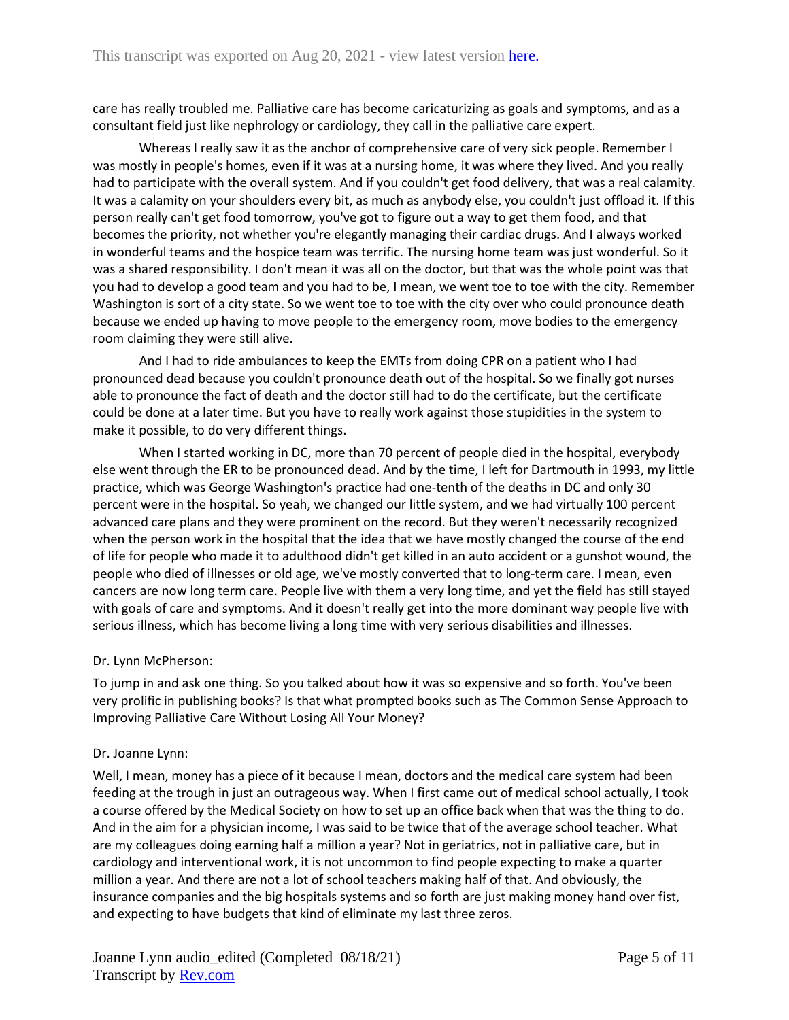care has really troubled me. Palliative care has become caricaturizing as goals and symptoms, and as a consultant field just like nephrology or cardiology, they call in the palliative care expert.

Whereas I really saw it as the anchor of comprehensive care of very sick people. Remember I was mostly in people's homes, even if it was at a nursing home, it was where they lived. And you really had to participate with the overall system. And if you couldn't get food delivery, that was a real calamity. It was a calamity on your shoulders every bit, as much as anybody else, you couldn't just offload it. If this person really can't get food tomorrow, you've got to figure out a way to get them food, and that becomes the priority, not whether you're elegantly managing their cardiac drugs. And I always worked in wonderful teams and the hospice team was terrific. The nursing home team was just wonderful. So it was a shared responsibility. I don't mean it was all on the doctor, but that was the whole point was that you had to develop a good team and you had to be, I mean, we went toe to toe with the city. Remember Washington is sort of a city state. So we went toe to toe with the city over who could pronounce death because we ended up having to move people to the emergency room, move bodies to the emergency room claiming they were still alive.

And I had to ride ambulances to keep the EMTs from doing CPR on a patient who I had pronounced dead because you couldn't pronounce death out of the hospital. So we finally got nurses able to pronounce the fact of death and the doctor still had to do the certificate, but the certificate could be done at a later time. But you have to really work against those stupidities in the system to make it possible, to do very different things.

When I started working in DC, more than 70 percent of people died in the hospital, everybody else went through the ER to be pronounced dead. And by the time, I left for Dartmouth in 1993, my little practice, which was George Washington's practice had one-tenth of the deaths in DC and only 30 percent were in the hospital. So yeah, we changed our little system, and we had virtually 100 percent advanced care plans and they were prominent on the record. But they weren't necessarily recognized when the person work in the hospital that the idea that we have mostly changed the course of the end of life for people who made it to adulthood didn't get killed in an auto accident or a gunshot wound, the people who died of illnesses or old age, we've mostly converted that to long-term care. I mean, even cancers are now long term care. People live with them a very long time, and yet the field has still stayed with goals of care and symptoms. And it doesn't really get into the more dominant way people live with serious illness, which has become living a long time with very serious disabilities and illnesses.

## Dr. Lynn McPherson:

To jump in and ask one thing. So you talked about how it was so expensive and so forth. You've been very prolific in publishing books? Is that what prompted books such as The Common Sense Approach to Improving Palliative Care Without Losing All Your Money?

## Dr. Joanne Lynn:

Well, I mean, money has a piece of it because I mean, doctors and the medical care system had been feeding at the trough in just an outrageous way. When I first came out of medical school actually, I took a course offered by the Medical Society on how to set up an office back when that was the thing to do. And in the aim for a physician income, I was said to be twice that of the average school teacher. What are my colleagues doing earning half a million a year? Not in geriatrics, not in palliative care, but in cardiology and interventional work, it is not uncommon to find people expecting to make a quarter million a year. And there are not a lot of school teachers making half of that. And obviously, the insurance companies and the big hospitals systems and so forth are just making money hand over fist, and expecting to have budgets that kind of eliminate my last three zeros.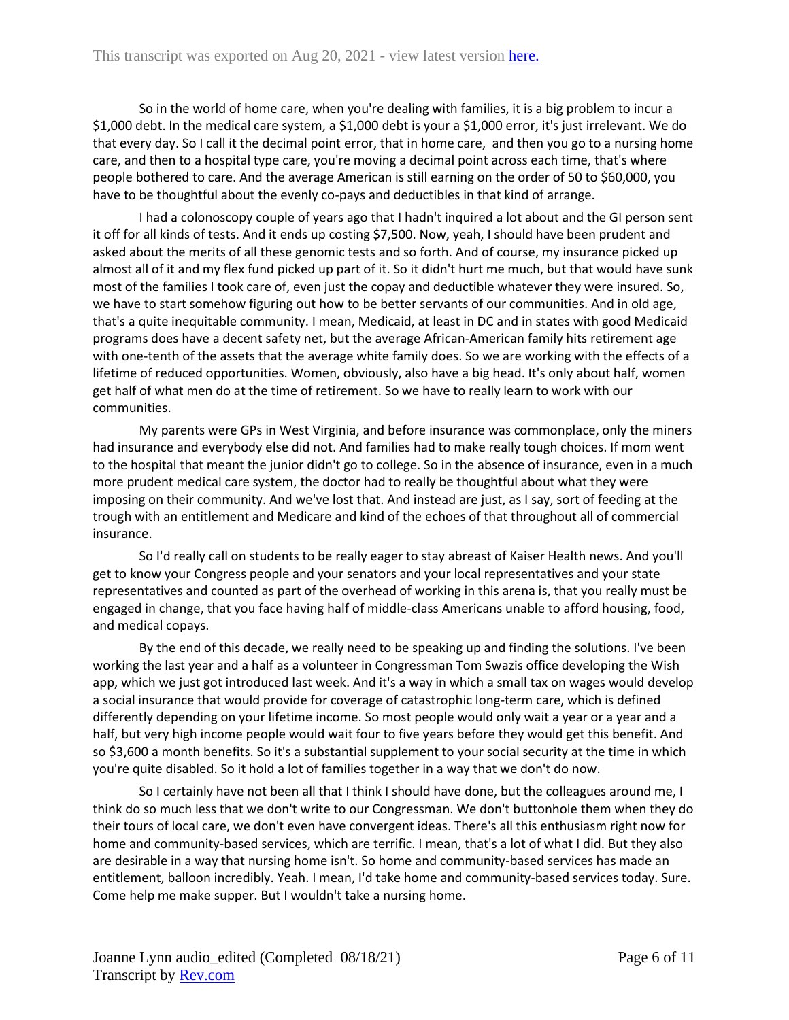So in the world of home care, when you're dealing with families, it is a big problem to incur a \$1,000 debt. In the medical care system, a \$1,000 debt is your a \$1,000 error, it's just irrelevant. We do that every day. So I call it the decimal point error, that in home care, and then you go to a nursing home care, and then to a hospital type care, you're moving a decimal point across each time, that's where people bothered to care. And the average American is still earning on the order of 50 to \$60,000, you have to be thoughtful about the evenly co-pays and deductibles in that kind of arrange.

I had a colonoscopy couple of years ago that I hadn't inquired a lot about and the GI person sent it off for all kinds of tests. And it ends up costing \$7,500. Now, yeah, I should have been prudent and asked about the merits of all these genomic tests and so forth. And of course, my insurance picked up almost all of it and my flex fund picked up part of it. So it didn't hurt me much, but that would have sunk most of the families I took care of, even just the copay and deductible whatever they were insured. So, we have to start somehow figuring out how to be better servants of our communities. And in old age, that's a quite inequitable community. I mean, Medicaid, at least in DC and in states with good Medicaid programs does have a decent safety net, but the average African-American family hits retirement age with one-tenth of the assets that the average white family does. So we are working with the effects of a lifetime of reduced opportunities. Women, obviously, also have a big head. It's only about half, women get half of what men do at the time of retirement. So we have to really learn to work with our communities.

My parents were GPs in West Virginia, and before insurance was commonplace, only the miners had insurance and everybody else did not. And families had to make really tough choices. If mom went to the hospital that meant the junior didn't go to college. So in the absence of insurance, even in a much more prudent medical care system, the doctor had to really be thoughtful about what they were imposing on their community. And we've lost that. And instead are just, as I say, sort of feeding at the trough with an entitlement and Medicare and kind of the echoes of that throughout all of commercial insurance.

So I'd really call on students to be really eager to stay abreast of Kaiser Health news. And you'll get to know your Congress people and your senators and your local representatives and your state representatives and counted as part of the overhead of working in this arena is, that you really must be engaged in change, that you face having half of middle-class Americans unable to afford housing, food, and medical copays.

By the end of this decade, we really need to be speaking up and finding the solutions. I've been working the last year and a half as a volunteer in Congressman Tom Swazis office developing the Wish app, which we just got introduced last week. And it's a way in which a small tax on wages would develop a social insurance that would provide for coverage of catastrophic long-term care, which is defined differently depending on your lifetime income. So most people would only wait a year or a year and a half, but very high income people would wait four to five years before they would get this benefit. And so \$3,600 a month benefits. So it's a substantial supplement to your social security at the time in which you're quite disabled. So it hold a lot of families together in a way that we don't do now.

So I certainly have not been all that I think I should have done, but the colleagues around me, I think do so much less that we don't write to our Congressman. We don't buttonhole them when they do their tours of local care, we don't even have convergent ideas. There's all this enthusiasm right now for home and community-based services, which are terrific. I mean, that's a lot of what I did. But they also are desirable in a way that nursing home isn't. So home and community-based services has made an entitlement, balloon incredibly. Yeah. I mean, I'd take home and community-based services today. Sure. Come help me make supper. But I wouldn't take a nursing home.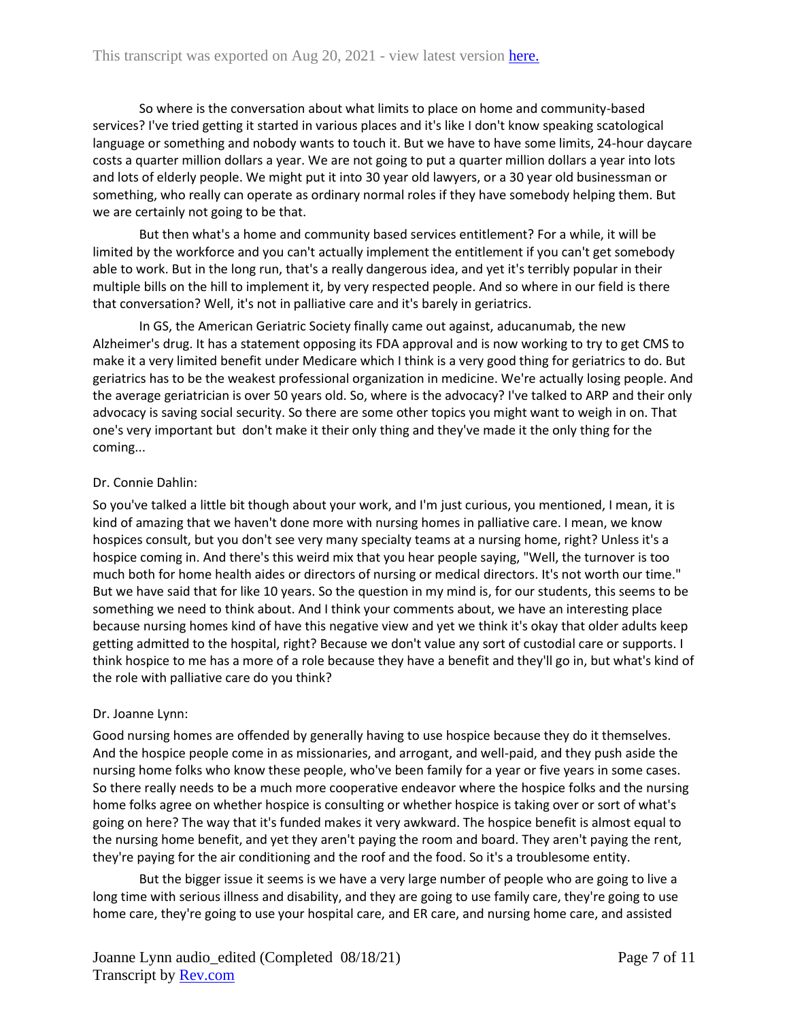So where is the conversation about what limits to place on home and community-based services? I've tried getting it started in various places and it's like I don't know speaking scatological language or something and nobody wants to touch it. But we have to have some limits, 24-hour daycare costs a quarter million dollars a year. We are not going to put a quarter million dollars a year into lots and lots of elderly people. We might put it into 30 year old lawyers, or a 30 year old businessman or something, who really can operate as ordinary normal roles if they have somebody helping them. But we are certainly not going to be that.

But then what's a home and community based services entitlement? For a while, it will be limited by the workforce and you can't actually implement the entitlement if you can't get somebody able to work. But in the long run, that's a really dangerous idea, and yet it's terribly popular in their multiple bills on the hill to implement it, by very respected people. And so where in our field is there that conversation? Well, it's not in palliative care and it's barely in geriatrics.

In GS, the American Geriatric Society finally came out against, aducanumab, the new Alzheimer's drug. It has a statement opposing its FDA approval and is now working to try to get CMS to make it a very limited benefit under Medicare which I think is a very good thing for geriatrics to do. But geriatrics has to be the weakest professional organization in medicine. We're actually losing people. And the average geriatrician is over 50 years old. So, where is the advocacy? I've talked to ARP and their only advocacy is saving social security. So there are some other topics you might want to weigh in on. That one's very important but don't make it their only thing and they've made it the only thing for the coming...

# Dr. Connie Dahlin:

So you've talked a little bit though about your work, and I'm just curious, you mentioned, I mean, it is kind of amazing that we haven't done more with nursing homes in palliative care. I mean, we know hospices consult, but you don't see very many specialty teams at a nursing home, right? Unless it's a hospice coming in. And there's this weird mix that you hear people saying, "Well, the turnover is too much both for home health aides or directors of nursing or medical directors. It's not worth our time." But we have said that for like 10 years. So the question in my mind is, for our students, this seems to be something we need to think about. And I think your comments about, we have an interesting place because nursing homes kind of have this negative view and yet we think it's okay that older adults keep getting admitted to the hospital, right? Because we don't value any sort of custodial care or supports. I think hospice to me has a more of a role because they have a benefit and they'll go in, but what's kind of the role with palliative care do you think?

## Dr. Joanne Lynn:

Good nursing homes are offended by generally having to use hospice because they do it themselves. And the hospice people come in as missionaries, and arrogant, and well-paid, and they push aside the nursing home folks who know these people, who've been family for a year or five years in some cases. So there really needs to be a much more cooperative endeavor where the hospice folks and the nursing home folks agree on whether hospice is consulting or whether hospice is taking over or sort of what's going on here? The way that it's funded makes it very awkward. The hospice benefit is almost equal to the nursing home benefit, and yet they aren't paying the room and board. They aren't paying the rent, they're paying for the air conditioning and the roof and the food. So it's a troublesome entity.

But the bigger issue it seems is we have a very large number of people who are going to live a long time with serious illness and disability, and they are going to use family care, they're going to use home care, they're going to use your hospital care, and ER care, and nursing home care, and assisted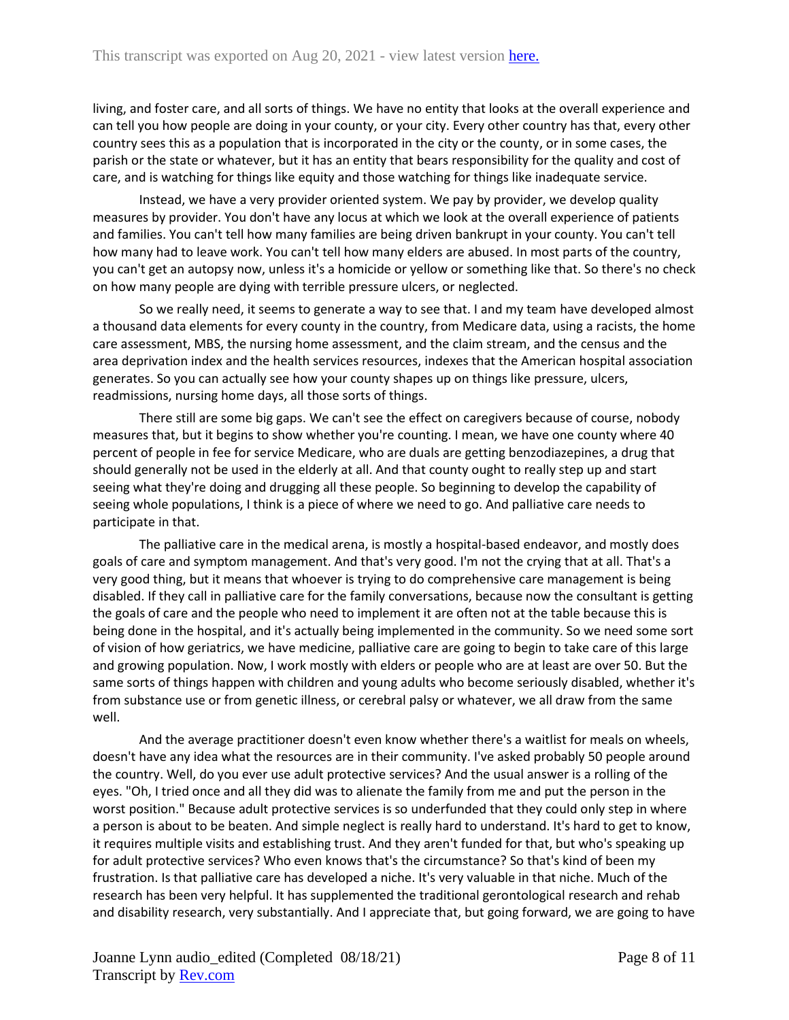living, and foster care, and all sorts of things. We have no entity that looks at the overall experience and can tell you how people are doing in your county, or your city. Every other country has that, every other country sees this as a population that is incorporated in the city or the county, or in some cases, the parish or the state or whatever, but it has an entity that bears responsibility for the quality and cost of care, and is watching for things like equity and those watching for things like inadequate service.

Instead, we have a very provider oriented system. We pay by provider, we develop quality measures by provider. You don't have any locus at which we look at the overall experience of patients and families. You can't tell how many families are being driven bankrupt in your county. You can't tell how many had to leave work. You can't tell how many elders are abused. In most parts of the country, you can't get an autopsy now, unless it's a homicide or yellow or something like that. So there's no check on how many people are dying with terrible pressure ulcers, or neglected.

So we really need, it seems to generate a way to see that. I and my team have developed almost a thousand data elements for every county in the country, from Medicare data, using a racists, the home care assessment, MBS, the nursing home assessment, and the claim stream, and the census and the area deprivation index and the health services resources, indexes that the American hospital association generates. So you can actually see how your county shapes up on things like pressure, ulcers, readmissions, nursing home days, all those sorts of things.

There still are some big gaps. We can't see the effect on caregivers because of course, nobody measures that, but it begins to show whether you're counting. I mean, we have one county where 40 percent of people in fee for service Medicare, who are duals are getting benzodiazepines, a drug that should generally not be used in the elderly at all. And that county ought to really step up and start seeing what they're doing and drugging all these people. So beginning to develop the capability of seeing whole populations, I think is a piece of where we need to go. And palliative care needs to participate in that.

The palliative care in the medical arena, is mostly a hospital-based endeavor, and mostly does goals of care and symptom management. And that's very good. I'm not the crying that at all. That's a very good thing, but it means that whoever is trying to do comprehensive care management is being disabled. If they call in palliative care for the family conversations, because now the consultant is getting the goals of care and the people who need to implement it are often not at the table because this is being done in the hospital, and it's actually being implemented in the community. So we need some sort of vision of how geriatrics, we have medicine, palliative care are going to begin to take care of this large and growing population. Now, I work mostly with elders or people who are at least are over 50. But the same sorts of things happen with children and young adults who become seriously disabled, whether it's from substance use or from genetic illness, or cerebral palsy or whatever, we all draw from the same well.

And the average practitioner doesn't even know whether there's a waitlist for meals on wheels, doesn't have any idea what the resources are in their community. I've asked probably 50 people around the country. Well, do you ever use adult protective services? And the usual answer is a rolling of the eyes. "Oh, I tried once and all they did was to alienate the family from me and put the person in the worst position." Because adult protective services is so underfunded that they could only step in where a person is about to be beaten. And simple neglect is really hard to understand. It's hard to get to know, it requires multiple visits and establishing trust. And they aren't funded for that, but who's speaking up for adult protective services? Who even knows that's the circumstance? So that's kind of been my frustration. Is that palliative care has developed a niche. It's very valuable in that niche. Much of the research has been very helpful. It has supplemented the traditional gerontological research and rehab and disability research, very substantially. And I appreciate that, but going forward, we are going to have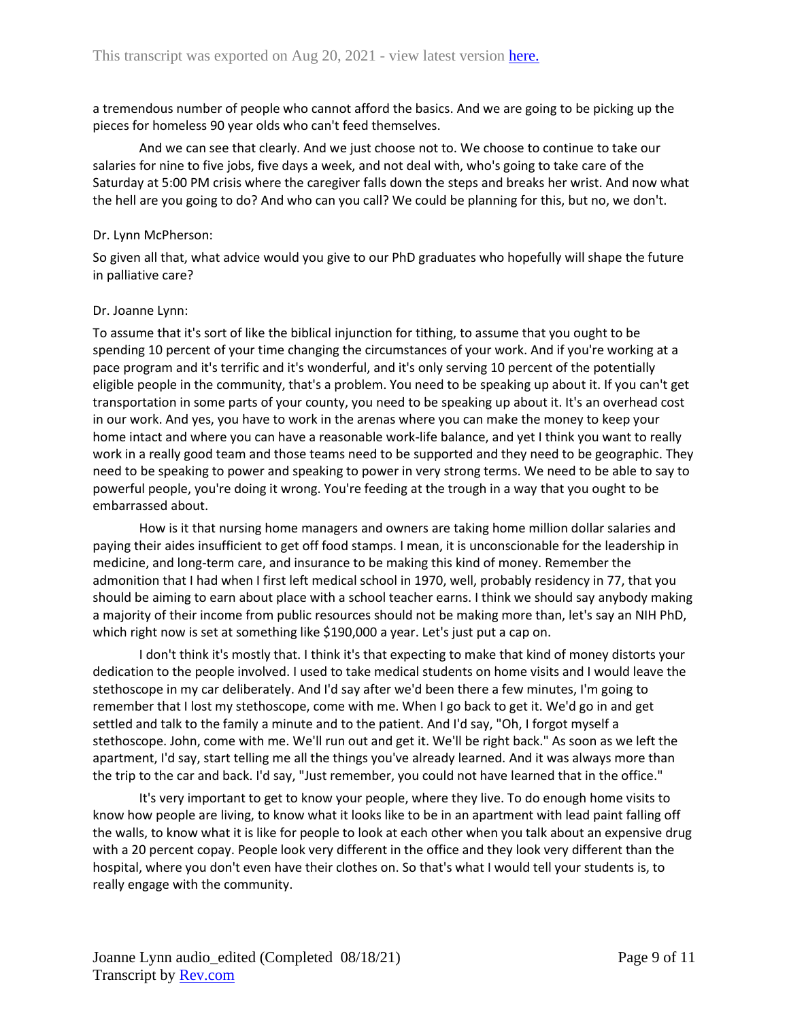a tremendous number of people who cannot afford the basics. And we are going to be picking up the pieces for homeless 90 year olds who can't feed themselves.

And we can see that clearly. And we just choose not to. We choose to continue to take our salaries for nine to five jobs, five days a week, and not deal with, who's going to take care of the Saturday at 5:00 PM crisis where the caregiver falls down the steps and breaks her wrist. And now what the hell are you going to do? And who can you call? We could be planning for this, but no, we don't.

#### Dr. Lynn McPherson:

So given all that, what advice would you give to our PhD graduates who hopefully will shape the future in palliative care?

## Dr. Joanne Lynn:

To assume that it's sort of like the biblical injunction for tithing, to assume that you ought to be spending 10 percent of your time changing the circumstances of your work. And if you're working at a pace program and it's terrific and it's wonderful, and it's only serving 10 percent of the potentially eligible people in the community, that's a problem. You need to be speaking up about it. If you can't get transportation in some parts of your county, you need to be speaking up about it. It's an overhead cost in our work. And yes, you have to work in the arenas where you can make the money to keep your home intact and where you can have a reasonable work-life balance, and yet I think you want to really work in a really good team and those teams need to be supported and they need to be geographic. They need to be speaking to power and speaking to power in very strong terms. We need to be able to say to powerful people, you're doing it wrong. You're feeding at the trough in a way that you ought to be embarrassed about.

How is it that nursing home managers and owners are taking home million dollar salaries and paying their aides insufficient to get off food stamps. I mean, it is unconscionable for the leadership in medicine, and long-term care, and insurance to be making this kind of money. Remember the admonition that I had when I first left medical school in 1970, well, probably residency in 77, that you should be aiming to earn about place with a school teacher earns. I think we should say anybody making a majority of their income from public resources should not be making more than, let's say an NIH PhD, which right now is set at something like \$190,000 a year. Let's just put a cap on.

I don't think it's mostly that. I think it's that expecting to make that kind of money distorts your dedication to the people involved. I used to take medical students on home visits and I would leave the stethoscope in my car deliberately. And I'd say after we'd been there a few minutes, I'm going to remember that I lost my stethoscope, come with me. When I go back to get it. We'd go in and get settled and talk to the family a minute and to the patient. And I'd say, "Oh, I forgot myself a stethoscope. John, come with me. We'll run out and get it. We'll be right back." As soon as we left the apartment, I'd say, start telling me all the things you've already learned. And it was always more than the trip to the car and back. I'd say, "Just remember, you could not have learned that in the office."

It's very important to get to know your people, where they live. To do enough home visits to know how people are living, to know what it looks like to be in an apartment with lead paint falling off the walls, to know what it is like for people to look at each other when you talk about an expensive drug with a 20 percent copay. People look very different in the office and they look very different than the hospital, where you don't even have their clothes on. So that's what I would tell your students is, to really engage with the community.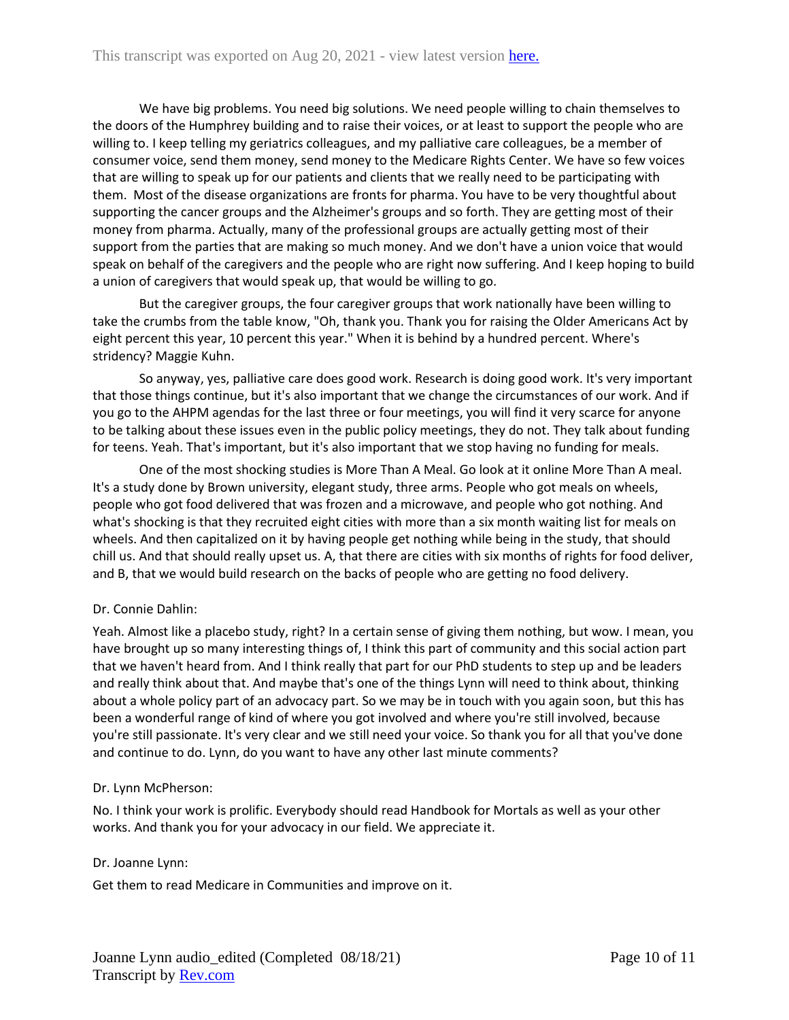We have big problems. You need big solutions. We need people willing to chain themselves to the doors of the Humphrey building and to raise their voices, or at least to support the people who are willing to. I keep telling my geriatrics colleagues, and my palliative care colleagues, be a member of consumer voice, send them money, send money to the Medicare Rights Center. We have so few voices that are willing to speak up for our patients and clients that we really need to be participating with them. Most of the disease organizations are fronts for pharma. You have to be very thoughtful about supporting the cancer groups and the Alzheimer's groups and so forth. They are getting most of their money from pharma. Actually, many of the professional groups are actually getting most of their support from the parties that are making so much money. And we don't have a union voice that would speak on behalf of the caregivers and the people who are right now suffering. And I keep hoping to build a union of caregivers that would speak up, that would be willing to go.

But the caregiver groups, the four caregiver groups that work nationally have been willing to take the crumbs from the table know, "Oh, thank you. Thank you for raising the Older Americans Act by eight percent this year, 10 percent this year." When it is behind by a hundred percent. Where's stridency? Maggie Kuhn.

So anyway, yes, palliative care does good work. Research is doing good work. It's very important that those things continue, but it's also important that we change the circumstances of our work. And if you go to the AHPM agendas for the last three or four meetings, you will find it very scarce for anyone to be talking about these issues even in the public policy meetings, they do not. They talk about funding for teens. Yeah. That's important, but it's also important that we stop having no funding for meals.

One of the most shocking studies is More Than A Meal. Go look at it online More Than A meal. It's a study done by Brown university, elegant study, three arms. People who got meals on wheels, people who got food delivered that was frozen and a microwave, and people who got nothing. And what's shocking is that they recruited eight cities with more than a six month waiting list for meals on wheels. And then capitalized on it by having people get nothing while being in the study, that should chill us. And that should really upset us. A, that there are cities with six months of rights for food deliver, and B, that we would build research on the backs of people who are getting no food delivery.

# Dr. Connie Dahlin:

Yeah. Almost like a placebo study, right? In a certain sense of giving them nothing, but wow. I mean, you have brought up so many interesting things of, I think this part of community and this social action part that we haven't heard from. And I think really that part for our PhD students to step up and be leaders and really think about that. And maybe that's one of the things Lynn will need to think about, thinking about a whole policy part of an advocacy part. So we may be in touch with you again soon, but this has been a wonderful range of kind of where you got involved and where you're still involved, because you're still passionate. It's very clear and we still need your voice. So thank you for all that you've done and continue to do. Lynn, do you want to have any other last minute comments?

## Dr. Lynn McPherson:

No. I think your work is prolific. Everybody should read Handbook for Mortals as well as your other works. And thank you for your advocacy in our field. We appreciate it.

## Dr. Joanne Lynn:

Get them to read Medicare in Communities and improve on it.